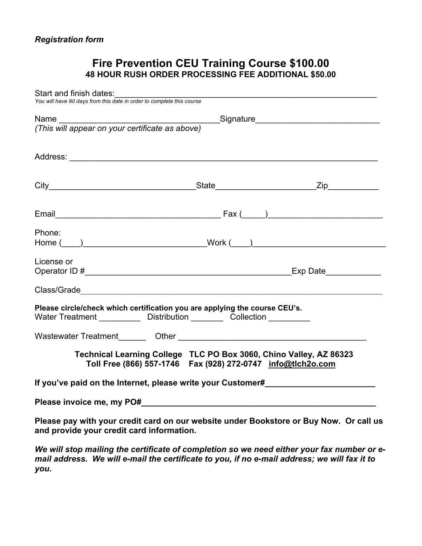# **Fire Prevention CEU Training Course \$100.00 48 HOUR RUSH ORDER PROCESSING FEE ADDITIONAL \$50.00**

| Start and finish dates:<br>Start and finish dates:<br>You will have 90 days from this date in order to complete this course |                                                                                                                                                          |  |
|-----------------------------------------------------------------------------------------------------------------------------|----------------------------------------------------------------------------------------------------------------------------------------------------------|--|
|                                                                                                                             |                                                                                                                                                          |  |
| Name                                                                                                                        | __________________Signature__________________________________                                                                                            |  |
| (This will appear on your certificate as above)                                                                             |                                                                                                                                                          |  |
|                                                                                                                             |                                                                                                                                                          |  |
|                                                                                                                             |                                                                                                                                                          |  |
|                                                                                                                             |                                                                                                                                                          |  |
| Phone:                                                                                                                      |                                                                                                                                                          |  |
|                                                                                                                             | Home (____)_______________________________Work (____)___________________________                                                                         |  |
| License or                                                                                                                  |                                                                                                                                                          |  |
|                                                                                                                             |                                                                                                                                                          |  |
|                                                                                                                             | Please circle/check which certification you are applying the course CEU's.<br>Water Treatment _____________ Distribution _________ Collection __________ |  |
|                                                                                                                             |                                                                                                                                                          |  |
|                                                                                                                             | Technical Learning College TLC PO Box 3060, Chino Valley, AZ 86323<br>Toll Free (866) 557-1746    Fax (928) 272-0747    info@tlch2o.com                  |  |
|                                                                                                                             | If you've paid on the Internet, please write your Customer#                                                                                              |  |
|                                                                                                                             |                                                                                                                                                          |  |
|                                                                                                                             | Please pay with your credit card on our website under Bookstore or Buy Now. Or call us                                                                   |  |

*We will stop mailing the certificate of completion so we need either your fax number or email address. We will e-mail the certificate to you, if no e-mail address; we will fax it to you.* 

**and provide your credit card information.**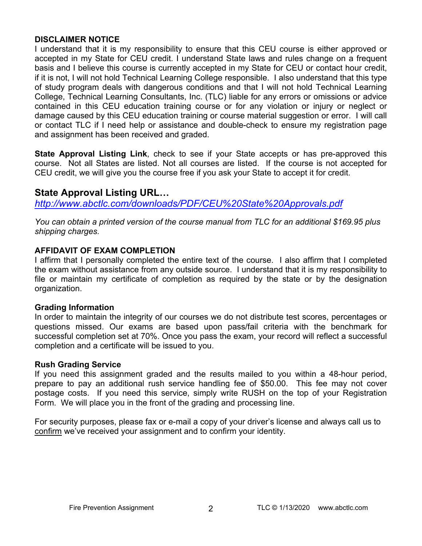### **DISCLAIMER NOTICE**

I understand that it is my responsibility to ensure that this CEU course is either approved or accepted in my State for CEU credit. I understand State laws and rules change on a frequent basis and I believe this course is currently accepted in my State for CEU or contact hour credit, if it is not, I will not hold Technical Learning College responsible. I also understand that this type of study program deals with dangerous conditions and that I will not hold Technical Learning College, Technical Learning Consultants, Inc. (TLC) liable for any errors or omissions or advice contained in this CEU education training course or for any violation or injury or neglect or damage caused by this CEU education training or course material suggestion or error. I will call or contact TLC if I need help or assistance and double-check to ensure my registration page and assignment has been received and graded.

**State Approval Listing Link**, check to see if your State accepts or has pre-approved this course. Not all States are listed. Not all courses are listed. If the course is not accepted for CEU credit, we will give you the course free if you ask your State to accept it for credit.

### **State Approval Listing URL…**

*<http://www.abctlc.com/downloads/PDF/CEU%20State%20Approvals.pdf>*

*You can obtain a printed version of the course manual from TLC for an additional \$169.95 plus shipping charges.* 

### **AFFIDAVIT OF EXAM COMPLETION**

I affirm that I personally completed the entire text of the course. I also affirm that I completed the exam without assistance from any outside source. I understand that it is my responsibility to file or maintain my certificate of completion as required by the state or by the designation organization.

### **Grading Information**

In order to maintain the integrity of our courses we do not distribute test scores, percentages or questions missed. Our exams are based upon pass/fail criteria with the benchmark for successful completion set at 70%. Once you pass the exam, your record will reflect a successful completion and a certificate will be issued to you.

### **Rush Grading Service**

If you need this assignment graded and the results mailed to you within a 48-hour period, prepare to pay an additional rush service handling fee of \$50.00. This fee may not cover postage costs. If you need this service, simply write RUSH on the top of your Registration Form. We will place you in the front of the grading and processing line.

For security purposes, please fax or e-mail a copy of your driver's license and always call us to confirm we've received your assignment and to confirm your identity.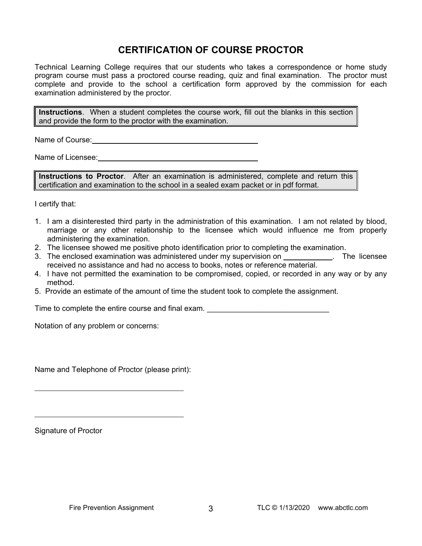# **CERTIFICATION OF COURSE PROCTOR**

Technical Learning College requires that our students who takes a correspondence or home study program course must pass a proctored course reading, quiz and final examination. The proctor must complete and provide to the school a certification form approved by the commission for each examination administered by the proctor.

**Instructions**. When a student completes the course work, fill out the blanks in this section and provide the form to the proctor with the examination.

Name of Course: <u>containing and contained</u> and contained a set of Course:

Name of Licensee:

**Instructions to Proctor**. After an examination is administered, complete and return this certification and examination to the school in a sealed exam packet or in pdf format.

I certify that:

- 1. I am a disinterested third party in the administration of this examination. I am not related by blood, marriage or any other relationship to the licensee which would influence me from properly administering the examination.
- 2. The licensee showed me positive photo identification prior to completing the examination.
- 3. The enclosed examination was administered under my supervision on \_\_\_\_\_\_\_\_\_\_\_. The licensee received no assistance and had no access to books, notes or reference material.
- 4. I have not permitted the examination to be compromised, copied, or recorded in any way or by any method.
- 5. Provide an estimate of the amount of time the student took to complete the assignment.

Time to complete the entire course and final exam. \_\_\_\_\_\_\_\_\_\_\_\_\_\_\_\_\_\_\_\_\_\_\_\_\_\_\_\_\_

Notation of any problem or concerns:

Name and Telephone of Proctor (please print):

Signature of Proctor

 $\overline{a}$ 

 $\overline{a}$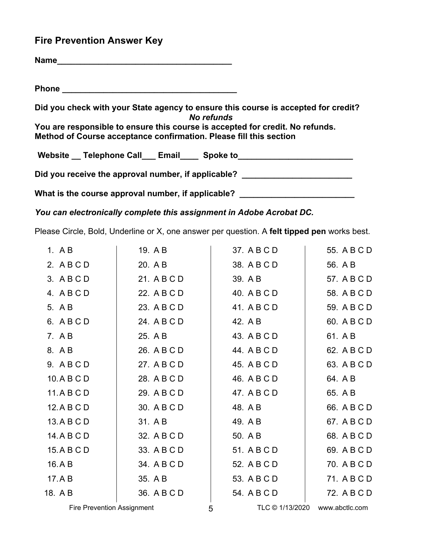# **Fire Prevention Answer Key**

| Did you check with your State agency to ensure this course is accepted for credit?<br>No refunds                                                    |
|-----------------------------------------------------------------------------------------------------------------------------------------------------|
| You are responsible to ensure this course is accepted for credit. No refunds.<br>Method of Course acceptance confirmation. Please fill this section |
| Website __ Telephone Call___ Email____ Spoke to_________________________________                                                                    |
| Did you receive the approval number, if applicable? ____________________________                                                                    |
| What is the course approval number, if applicable? ________                                                                                         |

*You can electronically complete this assignment in Adobe Acrobat DC.* 

Please Circle, Bold, Underline or X, one answer per question. A **felt tipped pen** works best.

| 1. $AB$     | 19. A B     | 37. A B C D | 55. A B C D |
|-------------|-------------|-------------|-------------|
| 2. ABCD     | 20. A B     | 38. A B C D | 56. A B     |
| 3. ABCD     | 21. A B C D | 39. A B     | 57. A B C D |
| 4. ABCD     | 22. A B C D | 40. A B C D | 58. A B C D |
| 5. A B      | 23. A B C D | 41. A B C D | 59. A B C D |
| 6. ABCD     | 24. A B C D | 42. A B     | 60. A B C D |
| 7. AB       | 25. A B     | 43. A B C D | 61. A B     |
| 8. AB       | 26. A B C D | 44. A B C D | 62. A B C D |
| 9. ABCD     | 27. A B C D | 45. A B C D | 63. A B C D |
| 10.ABCD     | 28. A B C D | 46. A B C D | 64. A B     |
| 11.ABCD     | 29. A B C D | 47. A B C D | 65. A B     |
| 12.A B C D  | 30. A B C D | 48. A B     | 66. A B C D |
| 13.A B C D  | 31. A B     | 49. A B     | 67. A B C D |
| 14. A B C D | 32. A B C D | 50. A B     | 68. A B C D |
| 15.A B C D  | 33. A B C D | 51. A B C D | 69. A B C D |
| 16.AB       | 34. A B C D | 52. A B C D | 70. A B C D |
| 17.AB       | 35. A B     | 53. A B C D | 71. A B C D |
| 18. A B     | 36. A B C D | 54. A B C D | 72. A B C D |
|             |             |             |             |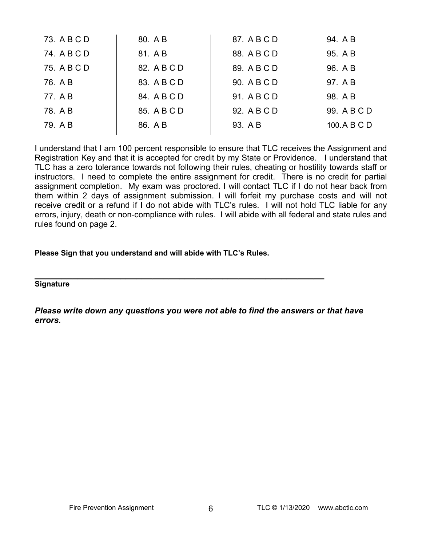| 73. A B C D | 80. A B     | 87. A B C D | 94. A B     |
|-------------|-------------|-------------|-------------|
| 74. A B C D | 81. A B     | 88. A B C D | 95. A B     |
| 75. A B C D | 82. A B C D | 89. A B C D | 96. A B     |
| 76. A B     | 83. A B C D | 90. A B C D | 97. A B     |
| 77. AB      | 84. A B C D | 91. A B C D | 98. A B     |
| 78. A B     | 85. A B C D | 92. A B C D | 99. A B C D |
| 79. A B     | 86. A B     | 93. A B     | 100.ABCD    |

I understand that I am 100 percent responsible to ensure that TLC receives the Assignment and Registration Key and that it is accepted for credit by my State or Providence. I understand that TLC has a zero tolerance towards not following their rules, cheating or hostility towards staff or instructors. I need to complete the entire assignment for credit. There is no credit for partial assignment completion. My exam was proctored. I will contact TLC if I do not hear back from them within 2 days of assignment submission. I will forfeit my purchase costs and will not receive credit or a refund if I do not abide with TLC's rules. I will not hold TLC liable for any errors, injury, death or non-compliance with rules. I will abide with all federal and state rules and rules found on page 2.

**Please Sign that you understand and will abide with TLC's Rules.** 

**\_\_\_\_\_\_\_\_\_\_\_\_\_\_\_\_\_\_\_\_\_\_\_\_\_\_\_\_\_\_\_\_\_\_\_\_\_\_\_\_\_\_\_\_\_\_\_\_\_\_\_\_\_\_ Signature** 

*Please write down any questions you were not able to find the answers or that have errors.*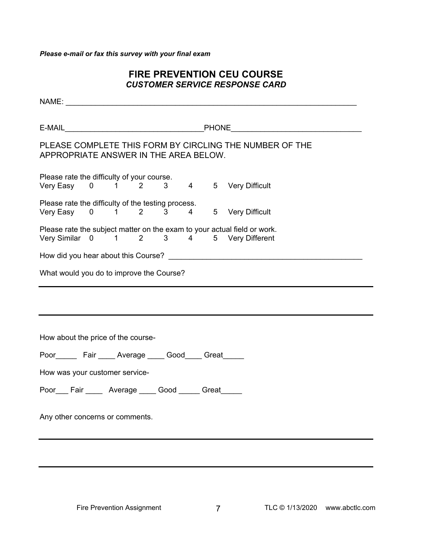*Please e-mail or fax this survey with your final exam* 

## **FIRE PREVENTION CEU COURSE**  *CUSTOMER SERVICE RESPONSE CARD*

| PLEASE COMPLETE THIS FORM BY CIRCLING THE NUMBER OF THE<br>APPROPRIATE ANSWER IN THE AREA BELOW.                    |  |  |  |  |  |
|---------------------------------------------------------------------------------------------------------------------|--|--|--|--|--|
| Please rate the difficulty of your course.<br>Very Easy 0 1 2 3 4 5 Very Difficult                                  |  |  |  |  |  |
| Please rate the difficulty of the testing process.<br>Very Easy 0 1 2 3 4 5 Very Difficult                          |  |  |  |  |  |
| Please rate the subject matter on the exam to your actual field or work.<br>Very Similar 0 1 2 3 4 5 Very Different |  |  |  |  |  |
| How did you hear about this Course? The control of the control of the control of the control of the control of      |  |  |  |  |  |
| What would you do to improve the Course?                                                                            |  |  |  |  |  |
|                                                                                                                     |  |  |  |  |  |
| How about the price of the course-                                                                                  |  |  |  |  |  |
| Poor Fair Average Good Great                                                                                        |  |  |  |  |  |
| How was your customer service-                                                                                      |  |  |  |  |  |

Poor\_\_\_ Fair \_\_\_\_\_ Average \_\_\_\_ Good \_\_\_\_\_ Great\_\_\_\_\_

Any other concerns or comments.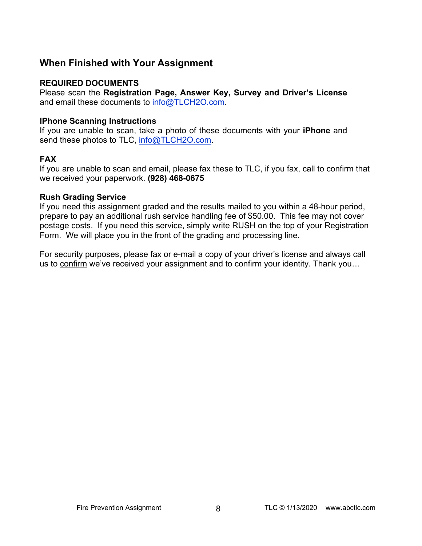# **When Finished with Your Assignment**

### **REQUIRED DOCUMENTS**

Please scan the **Registration Page, Answer Key, Survey and Driver's License** and email these documents to info@TLCH2O.com.

### **IPhone Scanning Instructions**

If you are unable to scan, take a photo of these documents with your **iPhone** and send these photos to TLC, info@TLCH2O.com.

### **FAX**

If you are unable to scan and email, please fax these to TLC, if you fax, call to confirm that we received your paperwork. **(928) 468-0675** 

### **Rush Grading Service**

If you need this assignment graded and the results mailed to you within a 48-hour period, prepare to pay an additional rush service handling fee of \$50.00. This fee may not cover postage costs. If you need this service, simply write RUSH on the top of your Registration Form. We will place you in the front of the grading and processing line.

For security purposes, please fax or e-mail a copy of your driver's license and always call us to confirm we've received your assignment and to confirm your identity. Thank you…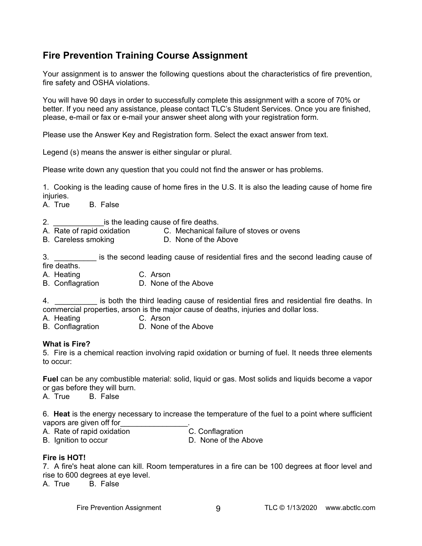# **Fire Prevention Training Course Assignment**

Your assignment is to answer the following questions about the characteristics of fire prevention, fire safety and OSHA violations.

You will have 90 days in order to successfully complete this assignment with a score of 70% or better. If you need any assistance, please contact TLC's Student Services. Once you are finished, please, e-mail or fax or e-mail your answer sheet along with your registration form.

Please use the Answer Key and Registration form. Select the exact answer from text.

Legend (s) means the answer is either singular or plural.

Please write down any question that you could not find the answer or has problems.

1. Cooking is the leading cause of home fires in the U.S. It is also the leading cause of home fire injuries.

A. True B. False

- 2. \_\_\_\_\_\_\_\_\_\_\_\_is the leading cause of fire deaths.
- A. Rate of rapid oxidation **C.** Mechanical failure of stoves or ovens
- B. Careless smoking D. None of the Above

3. \_\_\_\_\_\_\_\_\_\_ is the second leading cause of residential fires and the second leading cause of fire deaths.

A. Heating C. Arson

B. Conflagration D. None of the Above

4. \_\_\_\_\_\_\_\_\_\_ is both the third leading cause of residential fires and residential fire deaths. In commercial properties, arson is the major cause of deaths, injuries and dollar loss.

- A. Heating C. Arson
- B. Conflagration D. None of the Above

#### **What is Fire?**

5. Fire is a chemical reaction involving rapid oxidation or burning of fuel. It needs three elements to occur:

**Fuel** can be any combustible material: solid, liquid or gas. Most solids and liquids become a vapor or gas before they will burn.

A. True B. False

6. **Heat** is the energy necessary to increase the temperature of the fuel to a point where sufficient vapors are given off for

- A. Rate of rapid oxidation **C. Conflagration**
- B. Ignition to occur **D.** None of the Above

### **Fire is HOT!**

7. A fire's heat alone can kill. Room temperatures in a fire can be 100 degrees at floor level and rise to 600 degrees at eye level.

A. True B. False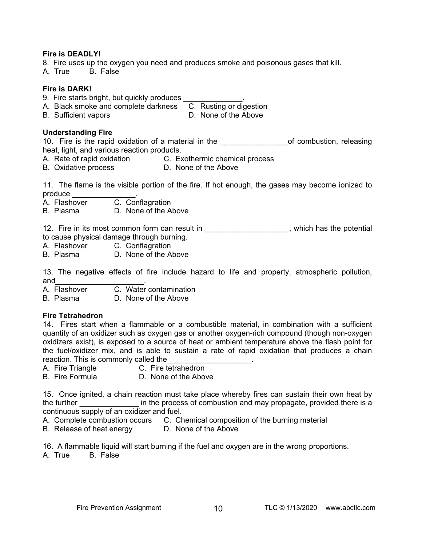### **Fire is DEADLY!**

8. Fire uses up the oxygen you need and produces smoke and poisonous gases that kill.

A. True B. False

### **Fire is DARK!**

- 9. Fire starts bright, but quickly produces
- A. Black smoke and complete darkness C. Rusting or digestion
- B. Sufficient vapors D. None of the Above

### **Understanding Fire**

10. Fire is the rapid oxidation of a material in the the state of combustion, releasing heat, light, and various reaction products.

A. Rate of rapid oxidation **C. Exothermic chemical process** 

B. Oxidative process **D. None of the Above** 

11. The flame is the visible portion of the fire. If hot enough, the gases may become ionized to produce

- A. Flashover C. Conflagration
- B. Plasma D. None of the Above

12. Fire in its most common form can result in \_\_\_\_\_\_\_\_\_\_\_\_\_\_\_\_\_\_\_\_, which has the potential

- to cause physical damage through burning. A. Flashover C. Conflagration
- B. Plasma D. None of the Above
- 

13. The negative effects of fire include hazard to life and property, atmospheric pollution, and\_\_\_\_\_\_\_\_\_\_\_\_\_\_\_\_\_\_\_\_\_.

A. Flashover C. Water contamination

B. Plasma D. None of the Above

### **Fire Tetrahedron**

14. Fires start when a flammable or a combustible material, in combination with a sufficient quantity of an oxidizer such as oxygen gas or another oxygen-rich compound (though non-oxygen oxidizers exist), is exposed to a source of heat or ambient temperature above the flash point for the fuel/oxidizer mix, and is able to sustain a rate of rapid oxidation that produces a chain reaction. This is commonly called the

- A. Fire Triangle C. Fire tetrahedron
- B. Fire Formula **D.** None of the Above

15. Once ignited, a chain reaction must take place whereby fires can sustain their own heat by the further **the further** is a combustion and may propagate, provided there is a continuous supply of an oxidizer and fuel.

- A. Complete combustion occurs C. Chemical composition of the burning material
- B. Release of heat energy D. None of the Above

16. A flammable liquid will start burning if the fuel and oxygen are in the wrong proportions.

A. True B. False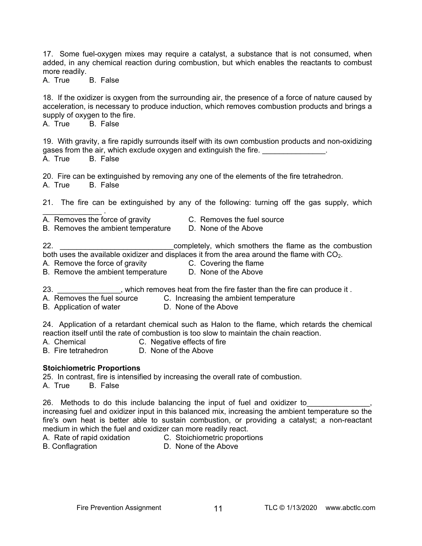17. Some fuel-oxygen mixes may require a catalyst, a substance that is not consumed, when added, in any chemical reaction during combustion, but which enables the reactants to combust more readily.

A. True B. False

18. If the oxidizer is oxygen from the surrounding air, the presence of a force of nature caused by acceleration, is necessary to produce induction, which removes combustion products and brings a supply of oxygen to the fire.

A. True B. False

19. With gravity, a fire rapidly surrounds itself with its own combustion products and non-oxidizing gases from the air, which exclude oxygen and extinguish the fire. A. True B. False

20. Fire can be extinguished by removing any one of the elements of the fire tetrahedron.

A. True B. False

21. The fire can be extinguished by any of the following: turning off the gas supply, which

- $\mathcal{L}_\text{max}$  . The set of the set of the set of the set of the set of the set of the set of the set of the set of the set of the set of the set of the set of the set of the set of the set of the set of the set of the set A. Removes the force of gravity **C.** Removes the fuel source
- B. Removes the ambient temperature D. None of the Above

22. **Example 22. 22. 22. 22. 22. 22. 22. 22. 22. 22. 20. 20. 20. 20. 20. 20. 20. 20. 20. 20. 20. 20. 20. 20. 20. 20. 20. 20. 20. 20. 20. 20. 20. 20. 20.** both uses the available oxidizer and displaces it from the area around the flame with  $CO<sub>2</sub>$ .

- A. Remove the force of gravity **C.** Covering the flame
	-
- B. Remove the ambient temperature D. None of the Above
- 23. **Example 23.** Which removes heat from the fire faster than the fire can produce it .
- A. Removes the fuel source C. Increasing the ambient temperature
- B. Application of water **D. None of the Above**

24. Application of a retardant chemical such as Halon to the flame, which retards the chemical reaction itself until the rate of combustion is too slow to maintain the chain reaction.

- A. Chemical C. Negative effects of fire<br>B. Fire tetrahedron D. None of the Above
- D. None of the Above

### **Stoichiometric Proportions**

25. In contrast, fire is intensified by increasing the overall rate of combustion.

A. True B. False

26. Methods to do this include balancing the input of fuel and oxidizer to

increasing fuel and oxidizer input in this balanced mix, increasing the ambient temperature so the fire's own heat is better able to sustain combustion, or providing a catalyst; a non-reactant medium in which the fuel and oxidizer can more readily react.

- A. Rate of rapid oxidation C. Stoichiometric proportions
- B. Conflagration **D. None of the Above**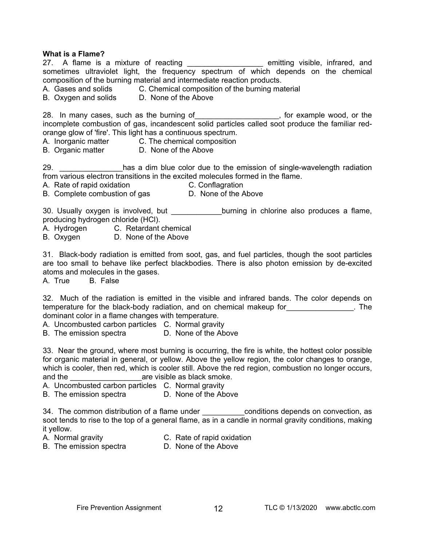### **What is a Flame?**

27. A flame is a mixture of reacting \_\_\_\_\_\_\_\_\_\_\_\_\_\_\_\_\_\_\_ emitting visible, infrared, and sometimes ultraviolet light, the frequency spectrum of which depends on the chemical composition of the burning material and intermediate reaction products.

A. Gases and solids **C. Chemical composition of the burning material** 

B. Oxygen and solids D. None of the Above

28. In many cases, such as the burning of \_\_\_\_\_\_\_\_\_\_\_\_\_\_\_\_, for example wood, or the incomplete combustion of gas, incandescent solid particles called soot produce the familiar redorange glow of 'fire'. This light has a continuous spectrum.

- A. Inorganic matter C. The chemical composition
- B. Organic matter D. None of the Above

29. \_\_\_\_\_\_\_\_\_\_\_\_\_\_\_has a dim blue color due to the emission of single-wavelength radiation from various electron transitions in the excited molecules formed in the flame.

A. Rate of rapid oxidation **C. Conflagration** 

B. Complete combustion of gas **D. None of the Above** 

30. Usually oxygen is involved, but \_\_\_\_\_\_\_\_\_\_\_\_\_\_burning in chlorine also produces a flame, producing hydrogen chloride (HCl).

- A. Hydrogen C. Retardant chemical
- B. Oxygen D. None of the Above

31. Black-body radiation is emitted from soot, gas, and fuel particles, though the soot particles are too small to behave like perfect blackbodies. There is also photon emission by de-excited atoms and molecules in the gases.

A. True B. False

32. Much of the radiation is emitted in the visible and infrared bands. The color depends on temperature for the black-body radiation, and on chemical makeup for **with the same of the state of the state**. The dominant color in a flame changes with temperature.

A. Uncombusted carbon particles C. Normal gravity

B. The emission spectra D. None of the Above

33. Near the ground, where most burning is occurring, the fire is white, the hottest color possible for organic material in general, or yellow. Above the yellow region, the color changes to orange, which is cooler, then red, which is cooler still. Above the red region, combustion no longer occurs, and the **and the set of the set of the set of the set of the set of the set of the set of the set of the set of the set of the set of the set of the set of the set of the set of the set of the set of the set of the set of** 

A. Uncombusted carbon particles C. Normal gravity

B. The emission spectra D. None of the Above

34. The common distribution of a flame under \_\_\_\_\_\_\_\_\_\_\_conditions depends on convection, as soot tends to rise to the top of a general flame, as in a candle in normal gravity conditions, making it yellow.

- 
- A. Normal gravity **C. Rate of rapid oxidation**
- B. The emission spectra **D. None of the Above** 
	-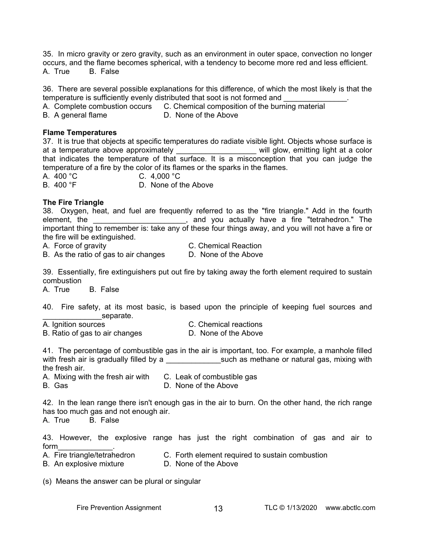35. In micro gravity or zero gravity, such as an environment in outer space, convection no longer occurs, and the flame becomes spherical, with a tendency to become more red and less efficient. A. True B. False

36. There are several possible explanations for this difference, of which the most likely is that the temperature is sufficiently evenly distributed that soot is not formed and

A. Complete combustion occurs C. Chemical composition of the burning material

B. A general flame D. None of the Above

#### **Flame Temperatures**

37. It is true that objects at specific temperatures do radiate visible light. Objects whose surface is at a temperature above approximately \_\_\_\_\_\_\_\_\_\_\_\_\_\_\_\_\_\_\_\_\_\_ will glow, emitting light at a color that indicates the temperature of that surface. It is a misconception that you can judge the temperature of a fire by the color of its flames or the sparks in the flames.

A. 400 °C C. 4,000 °C

B. 400 °F D. None of the Above

#### **The Fire Triangle**

38. Oxygen, heat, and fuel are frequently referred to as the "fire triangle." Add in the fourth element, the <u>element, the constant of the second section</u> and you actually have a fire "tetrahedron." The important thing to remember is: take any of these four things away, and you will not have a fire or the fire will be extinguished.

A. Force of gravity **C. Chemical Reaction** 

B. As the ratio of gas to air changes D. None of the Above

39. Essentially, fire extinguishers put out fire by taking away the forth element required to sustain combustion

A. True B. False

40. Fire safety, at its most basic, is based upon the principle of keeping fuel sources and \_\_\_\_\_\_\_\_\_\_\_\_\_\_separate.

A. Ignition sources C. Chemical reactions

B. Ratio of gas to air changes **D. None of the Above** 

41. The percentage of combustible gas in the air is important, too. For example, a manhole filled with fresh air is gradually filled by a \_\_\_\_\_\_\_\_\_\_\_\_\_\_\_\_\_such as methane or natural gas, mixing with the fresh air.

- A. Mixing with the fresh air with C. Leak of combustible gas
- B. Gas D. None of the Above

42. In the lean range there isn't enough gas in the air to burn. On the other hand, the rich range has too much gas and not enough air.

A. True B. False

43. However, the explosive range has just the right combination of gas and air to form

- A. Fire triangle/tetrahedron C. Forth element required to sustain combustion
- B. An explosive mixture **D. None of the Above**

(s) Means the answer can be plural or singular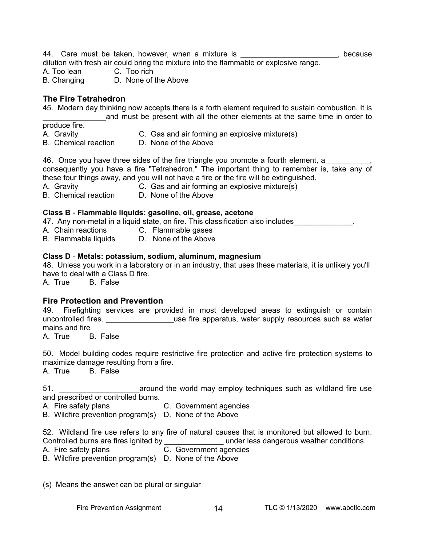44. Care must be taken, however, when a mixture is \_\_\_\_\_\_\_\_\_\_\_\_\_\_\_\_\_\_\_\_\_\_, because dilution with fresh air could bring the mixture into the flammable or explosive range.

A. Too lean C. Too rich

B. Changing D. None of the Above

### **The Fire Tetrahedron**

- 45. Modern day thinking now accepts there is a forth element required to sustain combustion. It is and must be present with all the other elements at the same time in order to
- produce fire. A. Gravity C. Gas and air forming an explosive mixture(s) B. Chemical reaction D. None of the Above
- 

46. Once you have three sides of the fire triangle you promote a fourth element, a consequently you have a fire "Tetrahedron." The important thing to remember is, take any of these four things away, and you will not have a fire or the fire will be extinguished.

- A. Gravity C. Gas and air forming an explosive mixture(s)
- B. Chemical reaction D. None of the Above

### **Class B** - **Flammable liquids: gasoline, oil, grease, acetone**

47. Any non-metal in a liquid state, on fire. This classification also includes

- A. Chain reactions C. Flammable gases
- B. Flammable liquids D. None of the Above

### **Class D** - **Metals: potassium, sodium, aluminum, magnesium**

48. Unless you work in a laboratory or in an industry, that uses these materials, it is unlikely you'll have to deal with a Class D fire.

A. True B. False

### **Fire Protection and Prevention**

49. Firefighting services are provided in most developed areas to extinguish or contain uncontrolled fires. The same of the apparatus, water supply resources such as water mains and fire

A. True B. False

50. Model building codes require restrictive fire protection and active fire protection systems to maximize damage resulting from a fire.

A. True B. False

51. \_\_\_\_\_\_\_\_\_\_\_\_\_\_\_\_\_\_\_around the world may employ techniques such as wildland fire use and prescribed or controlled burns.

- A. Fire safety plans C. Government agencies
- B. Wildfire prevention program(s) D. None of the Above

52. Wildland fire use refers to any fire of natural causes that is monitored but allowed to burn. Controlled burns are fires ignited by **Exercise 20** under less dangerous weather conditions.

A. Fire safety plans C. Government agencies

B. Wildfire prevention program(s) D. None of the Above

(s) Means the answer can be plural or singular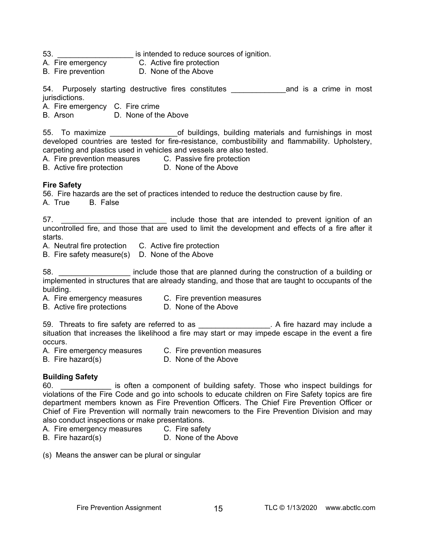53. \_\_\_\_\_\_\_\_\_\_\_\_\_\_\_\_\_\_ is intended to reduce sources of ignition.

- A. Fire emergency C. Active fire protection
- B. Fire prevention D. None of the Above

54. Purposely starting destructive fires constitutes \_\_\_\_\_\_\_\_\_\_\_\_\_\_\_\_\_\_\_\_\_\_\_\_\_\_\_\_ and is a crime in most jurisdictions.

A. Fire emergency C. Fire crime

B. Arson D. None of the Above

55. To maximize \_\_\_\_\_\_\_\_\_\_\_\_\_\_\_\_of buildings, building materials and furnishings in most developed countries are tested for fire-resistance, combustibility and flammability. Upholstery, carpeting and plastics used in vehicles and vessels are also tested.

- A. Fire prevention measures C. Passive fire protection
- B. Active fire protection **D. None of the Above**

### **Fire Safety**

56. Fire hazards are the set of practices intended to reduce the destruction cause by fire. A. True B. False

57. \_\_\_\_\_\_\_\_\_\_\_\_\_\_\_\_\_\_\_\_\_\_\_\_\_\_\_\_\_ include those that are intended to prevent ignition of an uncontrolled fire, and those that are used to limit the development and effects of a fire after it starts.

A. Neutral fire protection C. Active fire protection

B. Fire safety measure(s) D. None of the Above

58. **Example 1 include those that are planned during the construction of a building or** implemented in structures that are already standing, and those that are taught to occupants of the building.

- A. Fire emergency measures C. Fire prevention measures
- B. Active fire protections **D. None of the Above**

59. Threats to fire safety are referred to as \_\_\_\_\_\_\_\_\_\_\_\_\_\_\_\_\_. A fire hazard may include a situation that increases the likelihood a fire may start or may impede escape in the event a fire occurs.

- A. Fire emergency measures C. Fire prevention measures
- B. Fire hazard(s) D. None of the Above

### **Building Safety**

60. \_\_\_\_\_\_\_\_\_\_\_\_ is often a component of building safety. Those who inspect buildings for violations of the Fire Code and go into schools to educate children on Fire Safety topics are fire department members known as Fire Prevention Officers. The Chief Fire Prevention Officer or Chief of Fire Prevention will normally train newcomers to the Fire Prevention Division and may also conduct inspections or make presentations.

- A. Fire emergency measures C. Fire safety
- B. Fire hazard(s) D. None of the Above

(s) Means the answer can be plural or singular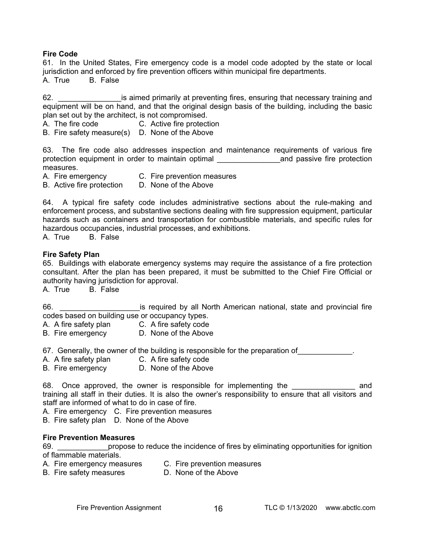### **Fire Code**

61. In the United States, Fire emergency code is a model code adopted by the state or local jurisdiction and enforced by fire prevention officers within municipal fire departments.

A. True B. False

62. **Example 1** is aimed primarily at preventing fires, ensuring that necessary training and equipment will be on hand, and that the original design basis of the building, including the basic plan set out by the architect, is not compromised.

A. The fire code C. Active fire protection

B. Fire safety measure(s) D. None of the Above

63. The fire code also addresses inspection and maintenance requirements of various fire protection equipment in order to maintain optimal example and passive fire protection measures.

A. Fire emergency C. Fire prevention measures

B. Active fire protection D. None of the Above

64. A typical fire safety code includes administrative sections about the rule-making and enforcement process, and substantive sections dealing with fire suppression equipment, particular hazards such as containers and transportation for combustible materials, and specific rules for hazardous occupancies, industrial processes, and exhibitions.

A. True B. False

#### **Fire Safety Plan**

65. Buildings with elaborate emergency systems may require the assistance of a fire protection consultant. After the plan has been prepared, it must be submitted to the Chief Fire Official or authority having jurisdiction for approval.

A. True B. False

66. **Example 20 and 5 and 5 and 5 and 5 and 5 and 5 and 5 and 5 and 5 and 5 and 5 and 5 and 5 and 5 and 5 and 5 and 5 and 5 and 5 and 5 and 5 and 5 and 5 and 5 and 5 and 5 and 5 and 5 and 5 and 5 and 5 and 5 and 5 and 5 an** codes based on building use or occupancy types.

- A. A fire safety plan C. A fire safety code
- B. Fire emergency D. None of the Above

67. Generally, the owner of the building is responsible for the preparation of

- A. A fire safety plan C. A fire safety code
- B. Fire emergency D. None of the Above

68. Once approved, the owner is responsible for implementing the \_\_\_\_\_\_\_\_\_\_\_\_\_\_\_ and training all staff in their duties. It is also the owner's responsibility to ensure that all visitors and staff are informed of what to do in case of fire.

A. Fire emergency C. Fire prevention measures

B. Fire safety plan D. None of the Above

### **Fire Prevention Measures**

69. \_\_\_\_\_\_\_\_\_\_\_\_propose to reduce the incidence of fires by eliminating opportunities for ignition of flammable materials.

- A. Fire emergency measures C. Fire prevention measures
- B. Fire safety measures D. None of the Above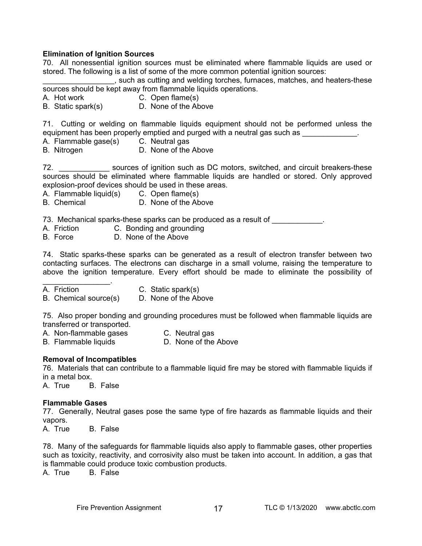### **Elimination of Ignition Sources**

70. All nonessential ignition sources must be eliminated where flammable liquids are used or stored. The following is a list of some of the more common potential ignition sources:

\_\_\_\_\_\_\_\_\_\_\_\_\_\_\_\_\_, such as cutting and welding torches, furnaces, matches, and heaters-these sources should be kept away from flammable liquids operations.

- A. Hot work C. Open flame(s)
- B. Static spark(s) D. None of the Above

71. Cutting or welding on flammable liquids equipment should not be performed unless the equipment has been properly emptied and purged with a neutral gas such as **EXEC 10** Fig.

- A. Flammable gase(s) C. Neutral gas
- B. Nitrogen D. None of the Above

72. sources of ignition such as DC motors, switched, and circuit breakers-these sources should be eliminated where flammable liquids are handled or stored. Only approved explosion-proof devices should be used in these areas.

A. Flammable liquid(s) C. Open flame(s)

B. Chemical D. None of the Above

73. Mechanical sparks-these sparks can be produced as a result of  $\blacksquare$ 

- A. Friction C. Bonding and grounding
- B. Force D. None of the Above

74. Static sparks-these sparks can be generated as a result of electron transfer between two contacting surfaces. The electrons can discharge in a small volume, raising the temperature to above the ignition temperature. Every effort should be made to eliminate the possibility of

 $\mathcal{L}=\mathcal{L}^{\mathcal{L}}$ 

- A. Friction C. Static spark(s)
- B. Chemical source(s) D. None of the Above

75. Also proper bonding and grounding procedures must be followed when flammable liquids are transferred or transported.

- A. Non-flammable gases C. Neutral gas<br>
B. Flammable liquids C. None of the Above
	-
- B. Flammable liquids
- 

#### **Removal of Incompatibles**

76. Materials that can contribute to a flammable liquid fire may be stored with flammable liquids if in a metal box.

A. True B. False

#### **Flammable Gases**

77. Generally, Neutral gases pose the same type of fire hazards as flammable liquids and their vapors.

A. True B. False

78. Many of the safeguards for flammable liquids also apply to flammable gases, other properties such as toxicity, reactivity, and corrosivity also must be taken into account. In addition, a gas that is flammable could produce toxic combustion products.

A. True B. False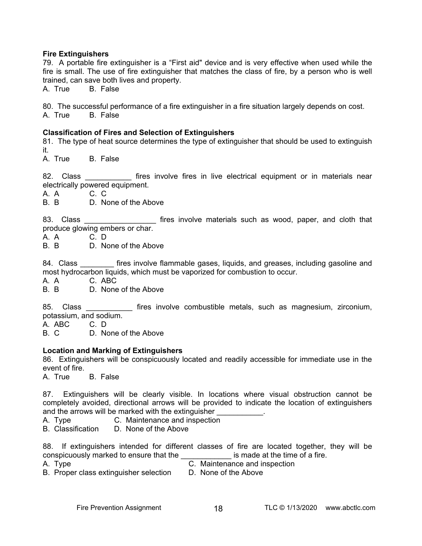### **Fire Extinguishers**

79. A portable fire extinguisher is a "First aid" device and is very effective when used while the fire is small. The use of fire extinguisher that matches the class of fire, by a person who is well trained, can save both lives and property.

A. True B. False

80. The successful performance of a fire extinguisher in a fire situation largely depends on cost. A. True B. False

#### **Classification of Fires and Selection of Extinguishers**

81. The type of heat source determines the type of extinguisher that should be used to extinguish it.

A. True B. False

82. Class \_\_\_\_\_\_\_\_\_\_\_\_ fires involve fires in live electrical equipment or in materials near electrically powered equipment.

- A. A C. C
- B. B D. None of the Above

83. Class \_\_\_\_\_\_\_\_\_\_\_\_\_\_\_\_\_\_\_ fires involve materials such as wood, paper, and cloth that produce glowing embers or char.

- A. A C. D
- B. B D. None of the Above

84. Class fires involve flammable gases, liquids, and greases, including gasoline and most hydrocarbon liquids, which must be vaporized for combustion to occur.

A. A C. ABC

B. B D. None of the Above

85. Class \_\_\_\_\_\_\_\_\_\_\_ fires involve combustible metals, such as magnesium, zirconium, potassium, and sodium.

A. ABC C. D

B. C D. None of the Above

### **Location and Marking of Extinguishers**

86. Extinguishers will be conspicuously located and readily accessible for immediate use in the event of fire.

A. True B. False

87. Extinguishers will be clearly visible. In locations where visual obstruction cannot be completely avoided, directional arrows will be provided to indicate the location of extinguishers and the arrows will be marked with the extinguisher

- A. Type C. Maintenance and inspection
- B. Classification D. None of the Above

88. If extinguishers intended for different classes of fire are located together, they will be conspicuously marked to ensure that the \_\_\_\_\_\_\_\_\_\_\_\_\_ is made at the time of a fire.

- A. Type C. Maintenance and inspection
- B. Proper class extinguisher selection D. None of the Above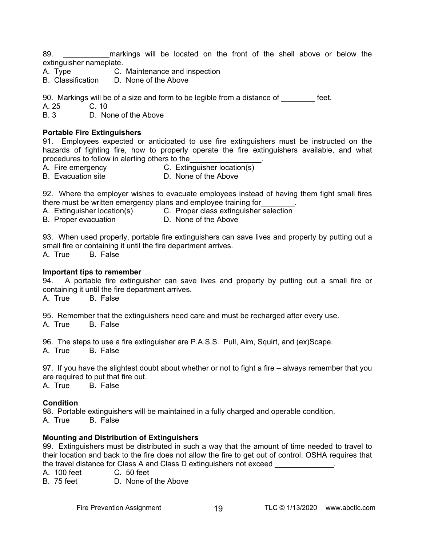89. **Example 20 markings will be located on the front of the shell above or below the** extinguisher nameplate.

- A. Type C. Maintenance and inspection
- B. Classification D. None of the Above

90. Markings will be of a size and form to be legible from a distance of feet.

A. 25 C. 10

B. 3 D. None of the Above

### **Portable Fire Extinguishers**

91. Employees expected or anticipated to use fire extinguishers must be instructed on the hazards of fighting fire, how to properly operate the fire extinguishers available, and what procedures to follow in alerting others to the

- A. Fire emergency C. Extinguisher location(s)
- B. Evacuation site D. None of the Above
- 

92. Where the employer wishes to evacuate employees instead of having them fight small fires there must be written emergency plans and employee training for\_\_\_\_\_\_\_\_.

- A. Extinguisher location(s) C. Proper class extinguisher selection
- B. Proper evacuation D. None of the Above

93. When used properly, portable fire extinguishers can save lives and property by putting out a small fire or containing it until the fire department arrives.

A. True B. False

### **Important tips to remember**

94. A portable fire extinguisher can save lives and property by putting out a small fire or containing it until the fire department arrives.

A. True B. False

95. Remember that the extinguishers need care and must be recharged after every use.

A. True B. False

96. The steps to use a fire extinguisher are P.A.S.S. Pull, Aim, Squirt, and (ex)Scape.

A. True B. False

97. If you have the slightest doubt about whether or not to fight a fire – always remember that you are required to put that fire out.

A. True B. False

### **Condition**

98. Portable extinguishers will be maintained in a fully charged and operable condition.

A. True B. False

### **Mounting and Distribution of Extinguishers**

99. Extinguishers must be distributed in such a way that the amount of time needed to travel to their location and back to the fire does not allow the fire to get out of control. OSHA requires that the travel distance for Class A and Class D extinguishers not exceed

A. 100 feet C. 50 feet

B. 75 feet D. None of the Above